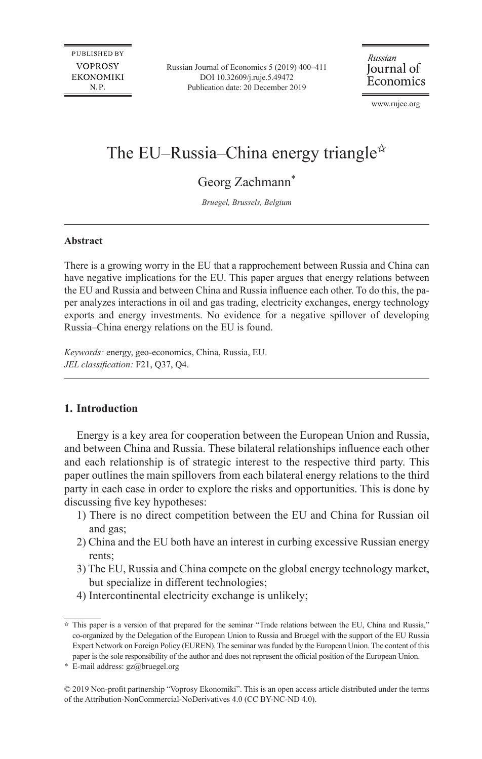Russian Journal of Economics 5 (2019) 400–411 DOI [10.32609/j.ruje.5.49472](http://doi.org/10.32609/j.ruje.5.49472) Publication date: 20 December 2019

Russian Journal of Economics

www.rujec.org

# The EU–Russia–China energy triangle<sup> $\star$ </sup>

Georg Zachmann<sup>\*</sup>

*Bruegel, Brussels, Belgium*

#### **Abstract**

There is a growing worry in the EU that a rapprochement between Russia and China can have negative implications for the EU. This paper argues that energy relations between the EU and Russia and between China and Russia influence each other. To do this, the paper analyzes interactions in oil and gas trading, electricity exchanges, energy technology exports and energy investments. No evidence for a negative spillover of developing Russia–China energy relations on the EU is found.

*Keywords:* energy, geo-economics, China, Russia, EU. *JEL classification:* F21, Q37, Q4.

### **1. Introduction**

Energy is a key area for cooperation between the European Union and Russia, and between China and Russia. These bilateral relationships influence each other and each relationship is of strategic interest to the respective third party. This paper outlines the main spillovers from each bilateral energy relations to the third party in each case in order to explore the risks and opportunities. This is done by discussing five key hypotheses:

- 1) There is no direct competition between the EU and China for Russian oil and gas;
- 2) China and the EU both have an interest in curbing excessive Russian energy rents;
- 3) The EU, Russia and China compete on the global energy technology market, but specialize in different technologies;
- 4) Intercontinental electricity exchange is unlikely;

\* E-mail address: [gz@bruegel.org](mailto:gz@bruegel.org)

 $\hat{P}$  This paper is a version of that prepared for the seminar "Trade relations between the EU, China and Russia," co-organized by the Delegation of the European Union to Russia and Bruegel with the support of the EU Russia Expert Network on Foreign Policy (EUREN). The seminar wasfunded by the European Union. The content of this paper is the sole responsibility of the author and does not represent the official position of the European Union.

<sup>©</sup> 2019 Non-profit partnership "Voprosy Ekonomiki". This is an open access article distributed under the terms of the [Attribution-NonCommercial-NoDerivatives](http://creativecommons.org/licenses/by-nc-nd/4.0/) 4.0 (CC BY-NC-ND 4.0).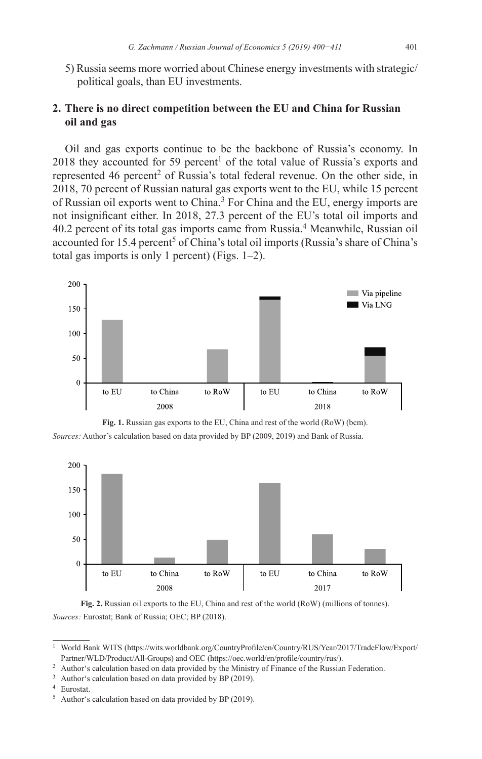5) Russia seems more worried about Chinese energy investments with strategic/ political goals, than EU investments.

## **2. There is no direct competition between the EU and China for Russian oil and gas**

Oil and gas exports continue to be the backbone of Russia's economy. In 2018 they accounted for 59 percent<sup>1</sup> of the total value of Russia's exports and represented 46 percent<sup>2</sup> of Russia's total federal revenue. On the other side, in 2018, 70 percent of Russian natural gas exports went to the EU, while 15 percent of Russian oil exports went to China.<sup>3</sup> For China and the EU, energy imports are not insignificant either. In 2018, 27.3 percent of the EU's total oil imports and 40.2 percent of its total gas imports came from Russia.<sup>4</sup> Meanwhile, Russian oil accounted for 15.4 percent<sup>5</sup> of China's total oil imports (Russia's share of China's total gas imports is only 1 percent) (Figs. 1–2).



**Fig. 1.** Russian gas exports to the EU, China and rest of the world (RoW) (bcm). *Sources:* Author's calculation based on data provided by BP (2009, 2019) and Bank of Russia.



**Fig. 2.** Russian oil exports to the EU, China and rest of the world (RoW) (millions of tonnes). *Sources:* Eurostat; Bank of Russia; OEC; BP (2018).

<sup>4</sup> Eurostat.

<sup>1</sup> World Bank WITS ([https://wits.worldbank.org/CountryProfile/en/Country/RUS/Year/2017/TradeFlow/Export/](https://wits.worldbank.org/CountryProfile/en/Country/RUS/Year/2017/TradeFlow/Export/Partner/WLD/Product/All-Groups) [Partner/WLD/Product/All-Groups\)](https://wits.worldbank.org/CountryProfile/en/Country/RUS/Year/2017/TradeFlow/Export/Partner/WLD/Product/All-Groups) and OEC (<https://oec.world/en/profile/country/rus/>).

<sup>&</sup>lt;sup>2</sup> Author's calculation based on data provided by the Ministry of Finance of the Russian Federation.

Author's calculation based on data provided by BP (2019).

<sup>5</sup> Author's calculation based on data provided by BP (2019).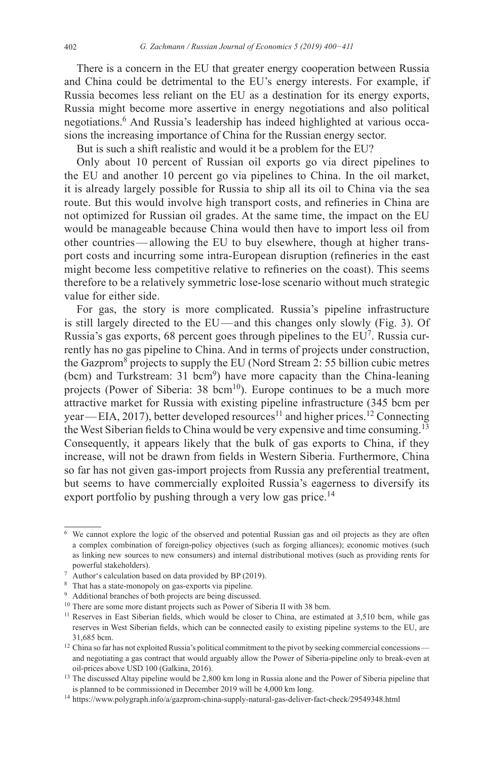There is a concern in the EU that greater energy cooperation between Russia and China could be detrimental to the EU's energy interests. For example, if Russia becomes less reliant on the EU as a destination for its energy exports, Russia might become more assertive in energy negotiations and also political negotiations.<sup>6</sup> And Russia's leadership has indeed highlighted at various occasions the increasing importance of China for the Russian energy sector.

But is such a shift realistic and would it be a problem for the EU?

Only about 10 percent of Russian oil exports go via direct pipelines to the EU and another 10 percent go via pipelines to China. In the oil market, it is already largely possible for Russia to ship all its oil to China via the sea route. But this would involve high transport costs, and refineries in China are not optimized for Russian oil grades. At the same time, the impact on the EU would be manageable because China would then have to import less oil from other countries—allowing the EU to buy elsewhere, though at higher transport costs and incurring some intra-European disruption (refineries in the east might become less competitive relative to refineries on the coast). This seems therefore to be a relatively symmetric lose-lose scenario without much strategic value for either side.

For gas, the story is more complicated. Russia's pipeline infrastructure is still largely directed to the EU—and this changes only slowly (Fig. 3). Of Russia's gas exports, 68 percent goes through pipelines to the EU<sup>7</sup>. Russia currently has no gas pipeline to China. And in terms of projects under construction, the Gazprom<sup>8</sup> projects to supply the EU (Nord Stream 2: 55 billion cubic metres (bcm) and Turkstream: 31 bcm<sup>9</sup>) have more capacity than the China-leaning projects (Power of Siberia:  $38 \text{ bem}^{10}$ ). Europe continues to be a much more attractive market for Russia with existing pipeline infrastructure (345 bcm per year—EIA, 2017), better developed resources<sup>11</sup> and higher prices.<sup>12</sup> Connecting the West Siberian fields to China would be very expensive and time consuming.<sup>13</sup> Consequently, it appears likely that the bulk of gas exports to China, if they increase, will not be drawn from fields in Western Siberia. Furthermore, China so far has not given gas-import projects from Russia any preferential treatment, but seems to have commercially exploited Russia's eagerness to diversify its export portfolio by pushing through a very low gas price.<sup>14</sup>

<sup>&</sup>lt;sup>6</sup> We cannot explore the logic of the observed and potential Russian gas and oil projects as they are often a complex combination of foreign-policy objectives (such as forging alliances); economic motives (such as linking new sources to new consumers) and internal distributional motives (such as providing rents for powerful stakeholders).

<sup>&</sup>lt;sup>7</sup> Author's calculation based on data provided by BP (2019).

<sup>8</sup> That has a state-monopoly on gas-exports via pipeline.

<sup>&</sup>lt;sup>9</sup> Additional branches of both projects are being discussed.

<sup>&</sup>lt;sup>10</sup> There are some more distant projects such as Power of Siberia II with 38 bcm.

<sup>&</sup>lt;sup>11</sup> Reserves in East Siberian fields, which would be closer to China, are estimated at 3,510 bcm, while gas reserves in West Siberian fields, which can be connected easily to existing pipeline systems to the EU, are 31,685 bcm.

<sup>&</sup>lt;sup>12</sup> China so far has not exploited Russia's political commitment to the pivot by seeking commercial concessions and negotiating a gas contract that would arguably allow the Power of Siberia-pipeline only to break-even at oil-prices above USD 100 (Galkina, 2016).

<sup>&</sup>lt;sup>13</sup> The discussed Altay pipeline would be 2,800 km long in Russia alone and the Power of Siberia pipeline that is planned to be commissioned in December 2019 will be 4,000 km long.

<sup>14</sup> <https://www.polygraph.info/a/gazprom-china-supply-natural-gas-deliver-fact-check/29549348.html>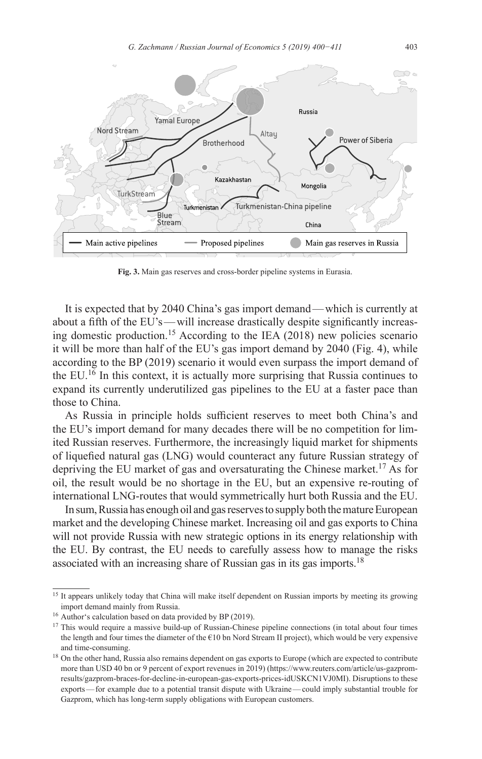

**Fig. 3.** Main gas reserves and cross-border pipeline systems in Eurasia.

It is expected that by 2040 China's gas import demand—which is currently at about a fifth of the EU's—will increase drastically despite significantly increasing domestic production.15 According to the IEA (2018) new policies scenario it will be more than half of the EU's gas import demand by 2040 (Fig. 4), while according to the BP (2019) scenario it would even surpass the import demand of the EU.16 In this context, it is actually more surprising that Russia continues to expand its currently underutilized gas pipelines to the EU at a faster pace than those to China.

As Russia in principle holds sufficient reserves to meet both China's and the EU's import demand for many decades there will be no competition for limited Russian reserves. Furthermore, the increasingly liquid market for shipments of liquefied natural gas (LNG) would counteract any future Russian strategy of depriving the EU market of gas and oversaturating the Chinese market.<sup>17</sup> As for oil, the result would be no shortage in the EU, but an expensive re-routing of international LNG-routes that would symmetrically hurt both Russia and the EU.

In sum, Russia has enough oil and gas reserves to supply both the mature European market and the developing Chinese market. Increasing oil and gas exports to China will not provide Russia with new strategic options in its energy relationship with the EU. By contrast, the EU needs to carefully assess how to manage the risks associated with an increasing share of Russian gas in its gas imports.<sup>18</sup>

<sup>&</sup>lt;sup>15</sup> It appears unlikely today that China will make itself dependent on Russian imports by meeting its growing import demand mainly from Russia.

<sup>&</sup>lt;sup>16</sup> Author's calculation based on data provided by BP (2019).

<sup>&</sup>lt;sup>17</sup> This would require a massive build-up of Russian-Chinese pipeline connections (in total about four times the length and four times the diameter of the €10 bn Nord Stream II project), which would be very expensive and time-consuming.

<sup>&</sup>lt;sup>18</sup> On the other hand, Russia also remains dependent on gas exports to Europe (which are expected to contribute more than USD 40 bn or 9 percent of export revenues in 2019) ([https://www.reuters.com/article/us-gazprom](https://www.reuters.com/article/us-gazprom-results/gazprom-braces-for-decline-in-european-gas-exports-prices-idUSKCN1VJ0MI)[results/gazprom-braces-for-decline-in-european-gas-exports-prices-idUSKCN1VJ0MI](https://www.reuters.com/article/us-gazprom-results/gazprom-braces-for-decline-in-european-gas-exports-prices-idUSKCN1VJ0MI)). Disruptions to these exports—for example due to a potential transit dispute with Ukraine—could imply substantial trouble for Gazprom, which has long-term supply obligations with European customers.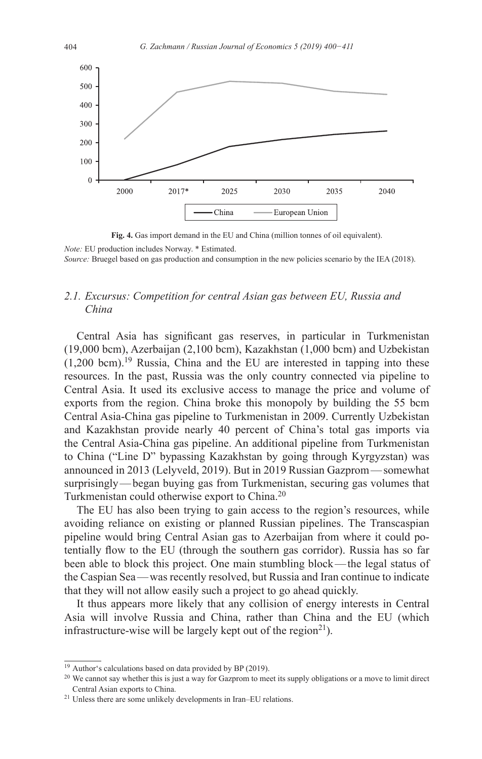

**Fig. 4.** Gas import demand in the EU and China (million tonnes of oil equivalent).

*Note:* EU production includes Norway. \* Estimated.

*Source:* Bruegel based on gas production and consumption in the new policies scenario by the IEA (2018).

# *2.1. Excursus: Competition for central Asian gas between EU, Russia and China*

Central Asia has significant gas reserves, in particular in Turkmenistan (19,000 bcm), Azerbaijan (2,100 bcm), Kazakhstan (1,000 bcm) and Uzbekistan  $(1,200 \text{ bcm})$ .<sup>19</sup> Russia, China and the EU are interested in tapping into these resources. In the past, Russia was the only country connected via pipeline to Central Asia. It used its exclusive access to manage the price and volume of exports from the region. China broke this monopoly by building the 55 bcm Central Asia-China gas pipeline to Turkmenistan in 2009. Currently Uzbekistan and Kazakhstan provide nearly 40 percent of China's total gas imports via the Central Asia-China gas pipeline. An additional pipeline from Turkmenistan to China ("Line D" bypassing Kazakhstan by going through Kyrgyzstan) was announced in 2013 (Lelyveld, 2019). But in 2019 Russian Gazprom—somewhat surprisingly—began buying gas from Turkmenistan, securing gas volumes that Turkmenistan could otherwise export to China.<sup>20</sup>

The EU has also been trying to gain access to the region's resources, while avoiding reliance on existing or planned Russian pipelines. The Transcaspian pipeline would bring Central Asian gas to Azerbaijan from where it could potentially flow to the EU (through the southern gas corridor). Russia has so far been able to block this project. One main stumbling block—the legal status of the Caspian Sea—was recently resolved, but Russia and Iran continue to indicate that they will not allow easily such a project to go ahead quickly.

It thus appears more likely that any collision of energy interests in Central Asia will involve Russia and China, rather than China and the EU (which infrastructure-wise will be largely kept out of the region<sup>21</sup>).

<sup>&</sup>lt;sup>19</sup> Author's calculations based on data provided by BP (2019).

<sup>&</sup>lt;sup>20</sup> We cannot say whether this is just a way for Gazprom to meet its supply obligations or a move to limit direct Central Asian exports to China.

 $21$  Unless there are some unlikely developments in Iran–EU relations.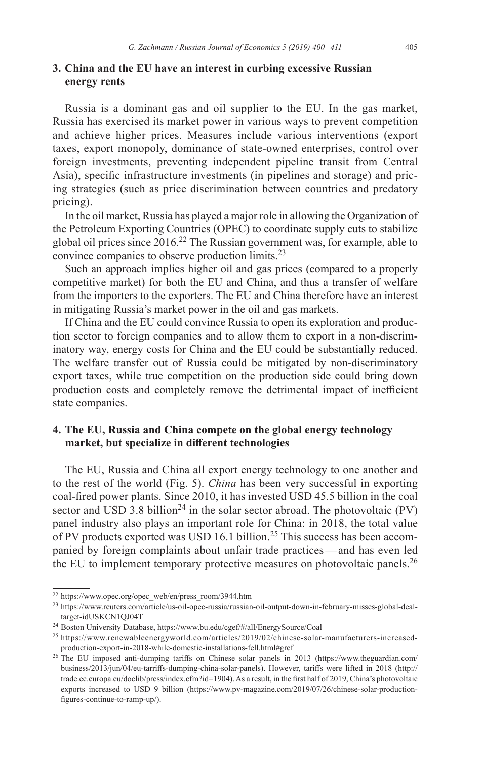## **3. China and the EU have an interest in curbing excessive Russian energy rents**

Russia is a dominant gas and oil supplier to the EU. In the gas market, Russia has exercised its market power in various ways to prevent competition and achieve higher prices. Measures include various interventions (export taxes, export monopoly, dominance of state-owned enterprises, control over foreign investments, preventing independent pipeline transit from Central Asia), specific infrastructure investments (in pipelines and storage) and pricing strategies (such as price discrimination between countries and predatory pricing).

In the oil market, Russia has played a major role in allowing the Organization of the Petroleum Exporting Countries (OPEC) to coordinate supply cuts to stabilize global oil prices since  $2016<sup>22</sup>$  The Russian government was, for example, able to convince companies to observe production limits.23

Such an approach implies higher oil and gas prices (compared to a properly competitive market) for both the EU and China, and thus a transfer of welfare from the importers to the exporters. The EU and China therefore have an interest in mitigating Russia's market power in the oil and gas markets.

If China and the EU could convince Russia to open its exploration and production sector to foreign companies and to allow them to export in a non-discriminatory way, energy costs for China and the EU could be substantially reduced. The welfare transfer out of Russia could be mitigated by non-discriminatory export taxes, while true competition on the production side could bring down production costs and completely remove the detrimental impact of inefficient state companies.

# **4. The EU, Russia and China compete on the global energy technology market, but specialize in different technologies**

The EU, Russia and China all export energy technology to one another and to the rest of the world (Fig. 5). *China* has been very successful in exporting coal-fired power plants. Since 2010, it has invested USD 45.5 billion in the coal sector and USD 3.8 billion<sup>24</sup> in the solar sector abroad. The photovoltaic (PV) panel industry also plays an important role for China: in 2018, the total value of PV products exported was USD 16.1 billion.<sup>25</sup> This success has been accompanied by foreign complaints about unfair trade practices—and has even led the EU to implement temporary protective measures on photovoltaic panels.<sup>26</sup>

<sup>22</sup> [https://www.opec.org/opec\\_web/en/press\\_room/3944.htm](https://www.opec.org/opec_web/en/press_room/3944.htm)

<sup>23</sup> [https://www.reuters.com/article/us-oil-opec-russia/russian-oil-output-down-in-february-misses-global-deal](https://www.reuters.com/article/us-oil-opec-russia/russian-oil-output-down-in-february-misses-global-deal-target-idUSKCN1QJ04T)[target-idUSKCN1QJ04T](https://www.reuters.com/article/us-oil-opec-russia/russian-oil-output-down-in-february-misses-global-deal-target-idUSKCN1QJ04T)

<sup>24</sup> Boston University Database, <https://www.bu.edu/cgef/#/all/EnergySource/Coal>

<sup>25</sup> [https://www.renewableenergyworld.com/articles/2019/02/chinese-solar-manufacturers-increased](https://www.renewableenergyworld.com/articles/2019/02/chinese-solar-manufacturers-increased-production-export-in-2018-while-domestic-installations-fell.html#gref)[production-export-in-2018-while-domestic-installations-fell.html#gref](https://www.renewableenergyworld.com/articles/2019/02/chinese-solar-manufacturers-increased-production-export-in-2018-while-domestic-installations-fell.html#gref)

<sup>&</sup>lt;sup>26</sup> The EU imposed anti-dumping tariffs on Chinese solar panels in 2013 ([https://www.theguardian.com/](https://www.theguardian.com/business/2013/jun/04/eu-tarriffs-dumping-china-solar-panels) [business/2013/jun/04/eu-tarriffs-dumping-china-solar-panels\)](https://www.theguardian.com/business/2013/jun/04/eu-tarriffs-dumping-china-solar-panels). However, tariffs were lifted in 2018 ([http://](http://trade.ec.europa.eu/doclib/press/index.cfm?id=1904) [trade.ec.europa.eu/doclib/press/index.cfm?id=1904](http://trade.ec.europa.eu/doclib/press/index.cfm?id=1904)).As a result, in the first half of 2019, China's photovoltaic exports increased to USD 9 billion ([https://www.pv-magazine.com/2019/07/26/chinese-solar-production](https://www.pv-magazine.com/2019/07/26/chinese-solar-production-figures-continue-to-ramp-up/)[figures-continue-to-ramp-up/](https://www.pv-magazine.com/2019/07/26/chinese-solar-production-figures-continue-to-ramp-up/)).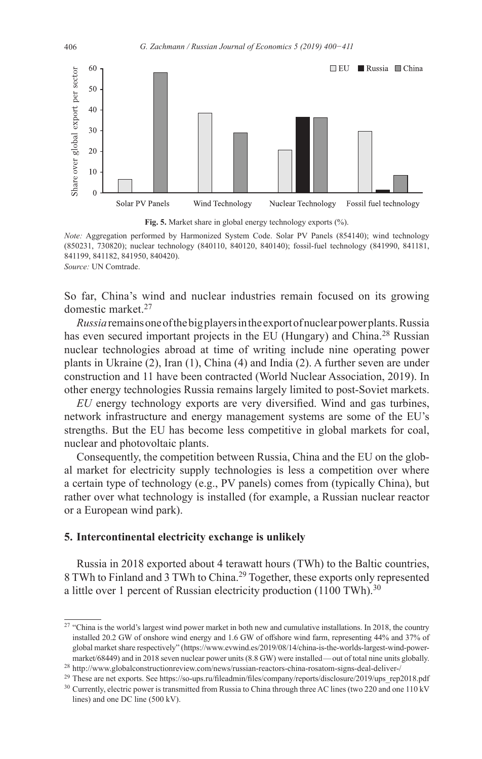



*Note:* Aggregation performed by Harmonized System Code. Solar PV Panels (854140); wind technology (850231, 730820); nuclear technology (840110, 840120, 840140); fossil-fuel technology (841990, 841181, 841199, 841182, 841950, 840420). *Source:* UN Comtrade.

So far, China's wind and nuclear industries remain focused on its growing domestic market.<sup>27</sup>

*Russia*remainsoneofthe bigplayersinthe exportofnuclearpowerplants.Russia has even secured important projects in the EU (Hungary) and China.<sup>28</sup> Russian nuclear technologies abroad at time of writing include nine operating power plants in Ukraine (2), Iran (1), China (4) and India (2). A further seven are under construction and 11 have been contracted (World Nuclear Association, 2019). In other energy technologies Russia remains largely limited to post-Soviet markets.

*EU* energy technology exports are very diversified. Wind and gas turbines, network infrastructure and energy management systems are some of the EU's strengths. But the EU has become less competitive in global markets for coal, nuclear and photovoltaic plants.

Consequently, the competition between Russia, China and the EU on the global market for electricity supply technologies is less a competition over where a certain type of technology (e.g., PV panels) comes from (typically China), but rather over what technology is installed (for example, a Russian nuclear reactor or a European wind park).

### **5. Intercontinental electricity exchange is unlikely**

Russia in 2018 exported about 4 terawatt hours (TWh) to the Baltic countries, 8 TWh to Finland and 3 TWh to China.<sup>29</sup> Together, these exports only represented a little over 1 percent of Russian electricity production  $(1100 \text{ TWh})^{30}$ 

<sup>&</sup>lt;sup>27</sup> "China is the world's largest wind power market in both new and cumulative installations. In 2018, the country installed 20.2 GW of onshore wind energy and 1.6 GW of offshore wind farm, representing 44% and 37% of global market share respectively" ([https://www.evwind.es/2019/08/14/china-is-the-worlds-largest-wind-power](https://www.evwind.es/2019/08/14/china-is-the-worlds-largest-wind-power-market/68449)[market/68449\)](https://www.evwind.es/2019/08/14/china-is-the-worlds-largest-wind-power-market/68449) and in 2018 seven nuclear power units (8.8 GW) were installed—out of total nine units globally.

<sup>28</sup> <http://www.globalconstructionreview.com/news/russian-reactors-china-rosatom-signs-deal-deliver-/>

<sup>29</sup> These are net exports. See [https://so-ups.ru/fileadmin/files/company/reports/disclosure/2019/ups\\_rep2018.pdf](https://so-ups.ru/fileadmin/files/company/reports/disclosure/2019/ups_rep2018.pdf) <sup>30</sup> Currently, electric power is transmitted from Russia to China through three AC lines (two 220 and one 110 kV lines) and one DC line (500 kV).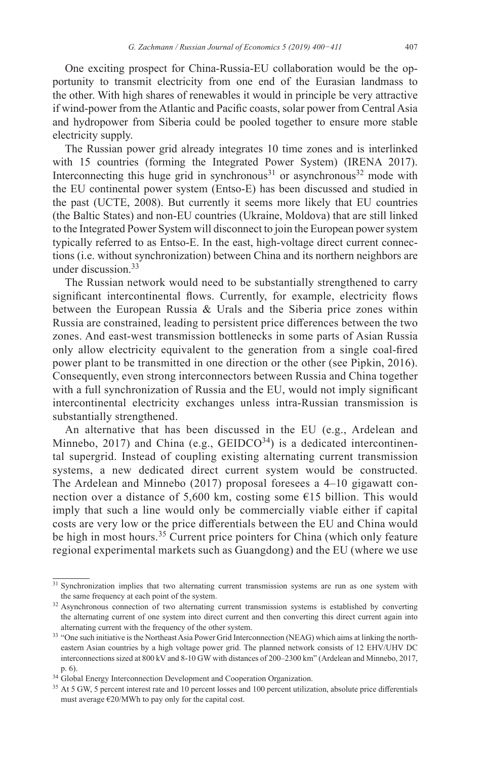One exciting prospect for China-Russia-EU collaboration would be the opportunity to transmit electricity from one end of the Eurasian landmass to the other. With high shares of renewables it would in principle be very attractive if wind-power from the Atlantic and Pacific coasts, solar power from Central Asia and hydropower from Siberia could be pooled together to ensure more stable electricity supply.

The Russian power grid already integrates 10 time zones and is interlinked with 15 countries (forming the Integrated Power System) (IRENA 2017). Interconnecting this huge grid in synchronous<sup>31</sup> or asynchronous<sup>32</sup> mode with the EU continental power system (Entso-E) has been discussed and studied in the past (UCTE, 2008). But currently it seems more likely that EU countries (the Baltic States) and non-EU countries (Ukraine, Moldova) that are still linked to the Integrated Power System will disconnect to join the European power system typically referred to as Entso-E. In the east, high-voltage direct current connections (i.e. without synchronization) between China and its northern neighbors are under discussion.33

The Russian network would need to be substantially strengthened to carry significant intercontinental flows. Currently, for example, electricity flows between the European Russia & Urals and the Siberia price zones within Russia are constrained, leading to persistent price differences between the two zones. And east-west transmission bottlenecks in some parts of Asian Russia only allow electricity equivalent to the generation from a single coal-fired power plant to be transmitted in one direction or the other (see Pipkin, 2016). Consequently, even strong interconnectors between Russia and China together with a full synchronization of Russia and the EU, would not imply significant intercontinental electricity exchanges unless intra-Russian transmission is substantially strengthened.

An alternative that has been discussed in the EU (e.g., Ardelean and Minnebo, 2017) and China (e.g.,  $GELDCO<sup>34</sup>$ ) is a dedicated intercontinental supergrid. Instead of coupling existing alternating current transmission systems, a new dedicated direct current system would be constructed. The Ardelean and Minnebo (2017) proposal foresees a 4–10 gigawatt connection over a distance of 5,600 km, costing some  $E15$  billion. This would imply that such a line would only be commercially viable either if capital costs are very low or the price differentials between the EU and China would be high in most hours.<sup>35</sup> Current price pointers for China (which only feature regional experimental markets such as Guangdong) and the EU (where we use

<sup>31</sup> Synchronization implies that two alternating current transmission systems are run as one system with the same frequency at each point of the system.

<sup>&</sup>lt;sup>32</sup> Asynchronous connection of two alternating current transmission systems is established by converting the alternating current of one system into direct current and then converting this direct current again into alternating current with the frequency of the other system.<br>33 "One such initiative is the Northeast Asia Power Grid Interconnection (NEAG) which aims at linking the north-

eastern Asian countries by a high voltage power grid. The planned network consists of 12 EHV/UHV DC interconnectionssized at 800 kV and 8-10 GW with distances of 200–2300 km" (Ardelean and Minnebo, 2017, p. 6).

<sup>&</sup>lt;sup>34</sup> Global Energy Interconnection Development and Cooperation Organization.

<sup>&</sup>lt;sup>35</sup> At 5 GW, 5 percent interest rate and 10 percent losses and 100 percent utilization, absolute price differentials must average  $\epsilon$ 20/MWh to pay only for the capital cost.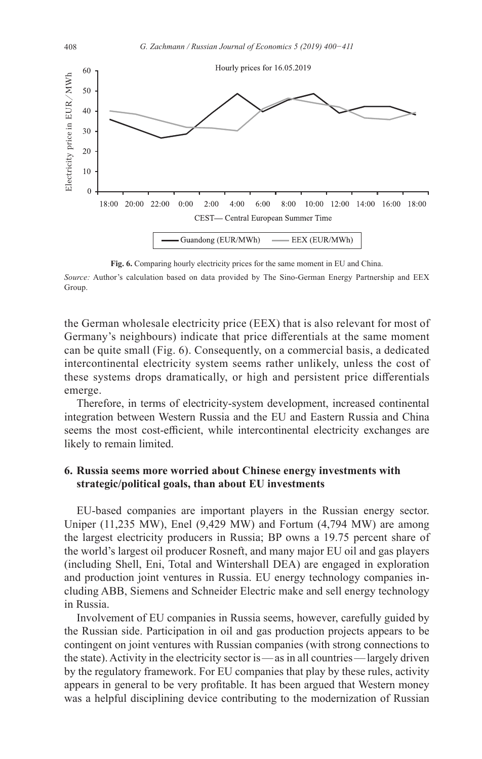

**Fig. 6.** Comparing hourly electricity prices for the same moment in EU and China.

*Source:* Author's calculation based on data provided by The Sino-German Energy Partnership and EEX Group.

the German wholesale electricity price (EEX) that is also relevant for most of Germany's neighbours) indicate that price differentials at the same moment can be quite small (Fig. 6). Consequently, on a commercial basis, a dedicated intercontinental electricity system seems rather unlikely, unless the cost of these systems drops dramatically, or high and persistent price differentials emerge.

Therefore, in terms of electricity-system development, increased continental integration between Western Russia and the EU and Eastern Russia and China seems the most cost-efficient, while intercontinental electricity exchanges are likely to remain limited.

## **6. Russia seems more worried about Chinese energy investments with strategic/political goals, than about EU investments**

EU-based companies are important players in the Russian energy sector. Uniper (11,235 MW), Enel (9,429 MW) and Fortum (4,794 MW) are among the largest electricity producers in Russia; BP owns a 19.75 percent share of the world's largest oil producer Rosneft, and many major EU oil and gas players (including Shell, Eni, Total and Wintershall DEA) are engaged in exploration and production joint ventures in Russia. EU energy technology companies including ABB, Siemens and Schneider Electric make and sell energy technology in Russia.

Involvement of EU companies in Russia seems, however, carefully guided by the Russian side. Participation in oil and gas production projects appears to be contingent on joint ventures with Russian companies (with strong connections to the state). Activity in the electricity sector is—as in all countries—largely driven by the regulatory framework. For EU companies that play by these rules, activity appears in general to be very profitable. It has been argued that Western money was a helpful disciplining device contributing to the modernization of Russian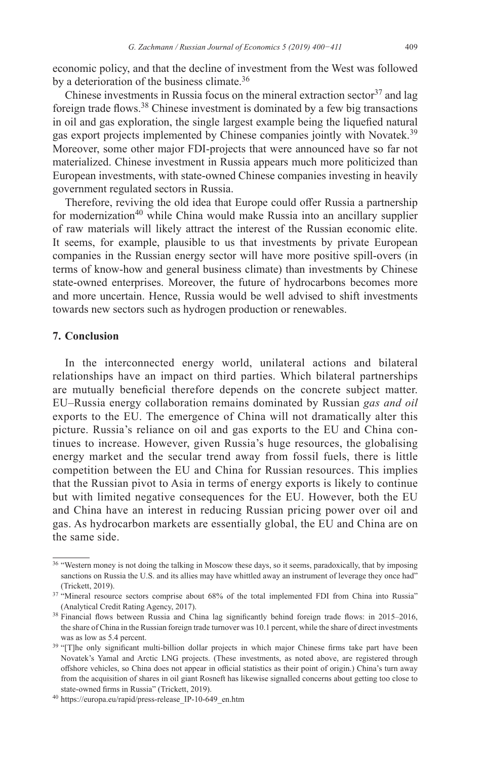economic policy, and that the decline of investment from the West was followed by a deterioration of the business climate.<sup>36</sup>

Chinese investments in Russia focus on the mineral extraction sector  $37$  and lag foreign trade flows.38 Chinese investment is dominated by a few big transactions in oil and gas exploration, the single largest example being the liquefied natural gas export projects implemented by Chinese companies jointly with Novatek.<sup>39</sup> Moreover, some other major FDI-projects that were announced have so far not materialized. Chinese investment in Russia appears much more politicized than European investments, with state-owned Chinese companies investing in heavily government regulated sectors in Russia.

Therefore, reviving the old idea that Europe could offer Russia a partnership for modernization<sup>40</sup> while China would make Russia into an ancillary supplier of raw materials will likely attract the interest of the Russian economic elite. It seems, for example, plausible to us that investments by private European companies in the Russian energy sector will have more positive spill-overs (in terms of know-how and general business climate) than investments by Chinese state-owned enterprises. Moreover, the future of hydrocarbons becomes more and more uncertain. Hence, Russia would be well advised to shift investments towards new sectors such as hydrogen production or renewables.

#### **7. Conclusion**

In the interconnected energy world, unilateral actions and bilateral relationships have an impact on third parties. Which bilateral partnerships are mutually beneficial therefore depends on the concrete subject matter. EU–Russia energy collaboration remains dominated by Russian *gas and oil* exports to the EU. The emergence of China will not dramatically alter this picture. Russia's reliance on oil and gas exports to the EU and China continues to increase. However, given Russia's huge resources, the globalising energy market and the secular trend away from fossil fuels, there is little competition between the EU and China for Russian resources. This implies that the Russian pivot to Asia in terms of energy exports is likely to continue but with limited negative consequences for the EU. However, both the EU and China have an interest in reducing Russian pricing power over oil and gas. As hydrocarbon markets are essentially global, the EU and China are on the same side.

<sup>&</sup>lt;sup>36</sup> "Western money is not doing the talking in Moscow these days, so it seems, paradoxically, that by imposing sanctions on Russia the U.S. and its allies may have whittled away an instrument of leverage they once had" (Trickett, 2019).

<sup>&</sup>lt;sup>37</sup> "Mineral resource sectors comprise about 68% of the total implemented FDI from China into Russia" (Analytical Credit Rating Agency, 2017).

<sup>38</sup> Financial flows between Russia and China lag significantly behind foreign trade flows: in 2015–2016, the share of China in the Russian foreign trade turnover was 10.1 percent, while the share of direct investments was as low as 5.4 percent.

<sup>&</sup>lt;sup>39</sup> "[T]he only significant multi-billion dollar projects in which major Chinese firms take part have been Novatek's Yamal and Arctic LNG projects. (These investments, as noted above, are registered through offshore vehicles, so China does not appear in official statistics as their point of origin.) China's turn away from the acquisition of shares in oil giant Rosneft has likewise signalled concerns about getting too close to state-owned firms in Russia" (Trickett, 2019).

<sup>40</sup> [https://europa.eu/rapid/press-release\\_IP-10-649\\_en.htm](https://europa.eu/rapid/press-release_IP-10-649_en.htm)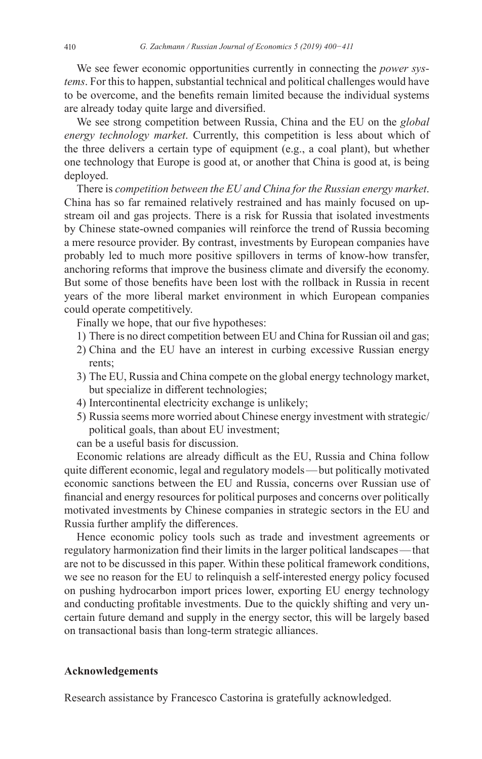We see fewer economic opportunities currently in connecting the *power systems*. For this to happen, substantial technical and political challenges would have to be overcome, and the benefits remain limited because the individual systems are already today quite large and diversified.

We see strong competition between Russia, China and the EU on the *global energy technology market*. Currently, this competition is less about which of the three delivers a certain type of equipment (e.g., a coal plant), but whether one technology that Europe is good at, or another that China is good at, is being deployed.

There is *competition between the EU and China for the Russian energy market*. China has so far remained relatively restrained and has mainly focused on upstream oil and gas projects. There is a risk for Russia that isolated investments by Chinese state-owned companies will reinforce the trend of Russia becoming a mere resource provider. By contrast, investments by European companies have probably led to much more positive spillovers in terms of know-how transfer, anchoring reforms that improve the business climate and diversify the economy. But some of those benefits have been lost with the rollback in Russia in recent years of the more liberal market environment in which European companies could operate competitively.

Finally we hope, that our five hypotheses:

- 1) There is no direct competition between EU and China for Russian oil and gas;
- 2) China and the EU have an interest in curbing excessive Russian energy rents;
- 3) The EU, Russia and China compete on the global energy technology market, but specialize in different technologies;
- 4) Intercontinental electricity exchange is unlikely;
- 5) Russia seems more worried about Chinese energy investment with strategic/ political goals, than about EU investment;

can be a useful basis for discussion.

Economic relations are already difficult as the EU, Russia and China follow quite different economic, legal and regulatory models—but politically motivated economic sanctions between the EU and Russia, concerns over Russian use of financial and energy resources for political purposes and concerns over politically motivated investments by Chinese companies in strategic sectors in the EU and Russia further amplify the differences.

Hence economic policy tools such as trade and investment agreements or regulatory harmonization find their limits in the larger political landscapes—that are not to be discussed in this paper. Within these political framework conditions, we see no reason for the EU to relinquish a self-interested energy policy focused on pushing hydrocarbon import prices lower, exporting EU energy technology and conducting profitable investments. Due to the quickly shifting and very uncertain future demand and supply in the energy sector, this will be largely based on transactional basis than long-term strategic alliances.

#### **Acknowledgements**

Research assistance by Francesco Castorina is gratefully acknowledged.